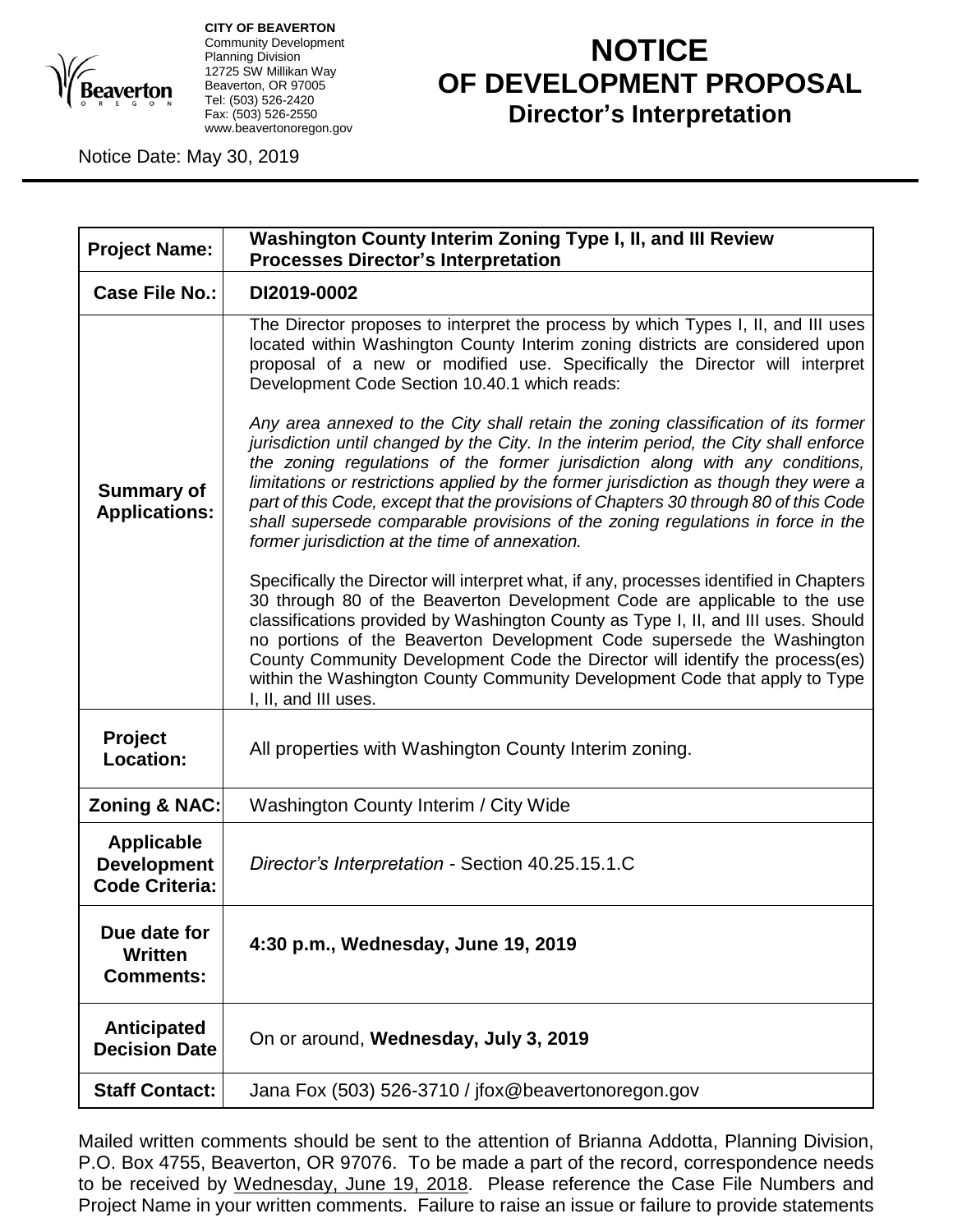

**CITY OF BEAVERTON** Community Development Planning Division 12725 SW Millikan Way Beaverton, OR 97005 Tel: (503) 526-2420 Fax: (503) 526-2550 www.beavertonoregon.gov

## **NOTICE OF DEVELOPMENT PROPOSAL Director's Interpretation**

Notice Date: May 30, 2019

| <b>Project Name:</b>                                             | Washington County Interim Zoning Type I, II, and III Review<br><b>Processes Director's Interpretation</b>                                                                                                                                                                                                                                                                                                                                                                                                                                                                       |
|------------------------------------------------------------------|---------------------------------------------------------------------------------------------------------------------------------------------------------------------------------------------------------------------------------------------------------------------------------------------------------------------------------------------------------------------------------------------------------------------------------------------------------------------------------------------------------------------------------------------------------------------------------|
| <b>Case File No.:</b>                                            | DI2019-0002                                                                                                                                                                                                                                                                                                                                                                                                                                                                                                                                                                     |
|                                                                  | The Director proposes to interpret the process by which Types I, II, and III uses<br>located within Washington County Interim zoning districts are considered upon<br>proposal of a new or modified use. Specifically the Director will interpret<br>Development Code Section 10.40.1 which reads:                                                                                                                                                                                                                                                                              |
| <b>Summary of</b><br><b>Applications:</b>                        | Any area annexed to the City shall retain the zoning classification of its former<br>jurisdiction until changed by the City. In the interim period, the City shall enforce<br>the zoning regulations of the former jurisdiction along with any conditions,<br>limitations or restrictions applied by the former jurisdiction as though they were a<br>part of this Code, except that the provisions of Chapters 30 through 80 of this Code<br>shall supersede comparable provisions of the zoning regulations in force in the<br>former jurisdiction at the time of annexation. |
|                                                                  | Specifically the Director will interpret what, if any, processes identified in Chapters<br>30 through 80 of the Beaverton Development Code are applicable to the use<br>classifications provided by Washington County as Type I, II, and III uses. Should<br>no portions of the Beaverton Development Code supersede the Washington<br>County Community Development Code the Director will identify the process(es)<br>within the Washington County Community Development Code that apply to Type<br>I, II, and III uses.                                                       |
| <b>Project</b><br>Location:                                      | All properties with Washington County Interim zoning.                                                                                                                                                                                                                                                                                                                                                                                                                                                                                                                           |
| <b>Zoning &amp; NAC:</b>                                         | Washington County Interim / City Wide                                                                                                                                                                                                                                                                                                                                                                                                                                                                                                                                           |
| <b>Applicable</b><br><b>Development</b><br><b>Code Criteria:</b> | Director's Interpretation - Section 40.25.15.1.C                                                                                                                                                                                                                                                                                                                                                                                                                                                                                                                                |
| Due date for<br>Written<br><b>Comments:</b>                      | 4:30 p.m., Wednesday, June 19, 2019                                                                                                                                                                                                                                                                                                                                                                                                                                                                                                                                             |
| <b>Anticipated</b><br><b>Decision Date</b>                       | On or around, Wednesday, July 3, 2019                                                                                                                                                                                                                                                                                                                                                                                                                                                                                                                                           |
| <b>Staff Contact:</b>                                            | Jana Fox (503) 526-3710 / jfox@beavertonoregon.gov                                                                                                                                                                                                                                                                                                                                                                                                                                                                                                                              |

Mailed written comments should be sent to the attention of Brianna Addotta, Planning Division, P.O. Box 4755, Beaverton, OR 97076. To be made a part of the record, correspondence needs to be received by Wednesday, June 19, 2018. Please reference the Case File Numbers and Project Name in your written comments. Failure to raise an issue or failure to provide statements